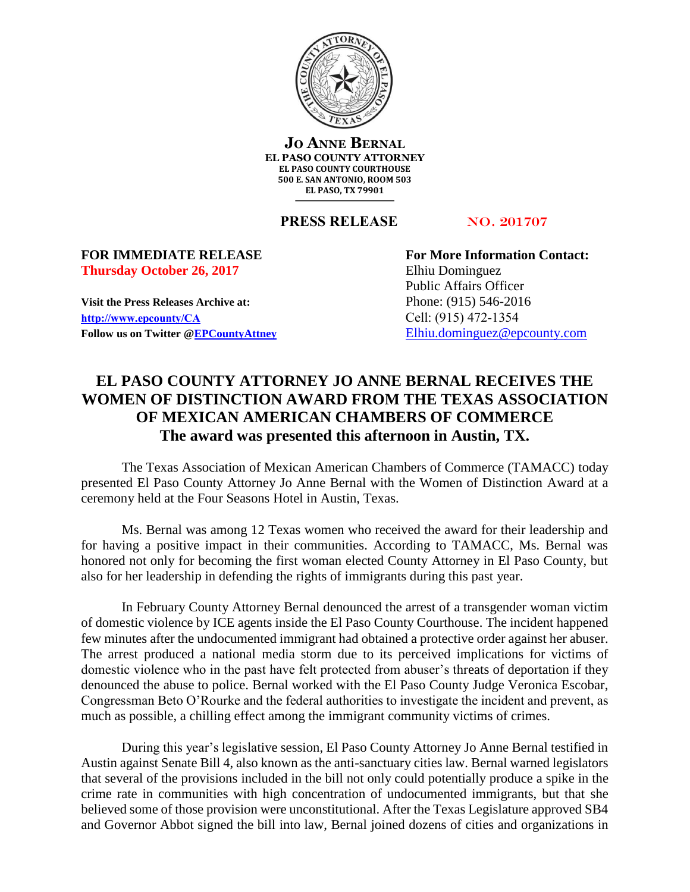

**JO ANNE BERNAL EL PASO COUNTY ATTORNEY EL PASO COUNTY COURTHOUSE 500 E. SAN ANTONIO, ROOM 503 EL PASO, TX 79901**

**PRESS RELEASE** NO. 201707

## **Thursday October 26, 2017** Elhiu Dominguez

**Visit the Press Releases Archive at:** Phone: (915) 546-2016 **[http://www.epcounty/CA](http://www.epcounty/CA/releases.htm)** Cell: (915) 472-1354 Follow us on Twitter  $@EPC$ ountyAttney [Elhiu.dominguez@epcounty.com](mailto:Elhiu.dominguez@epcounty.com)

**FOR IMMEDIATE RELEASE For More Information Contact:** Public Affairs Officer

## **EL PASO COUNTY ATTORNEY JO ANNE BERNAL RECEIVES THE WOMEN OF DISTINCTION AWARD FROM THE TEXAS ASSOCIATION OF MEXICAN AMERICAN CHAMBERS OF COMMERCE The award was presented this afternoon in Austin, TX.**

The Texas Association of Mexican American Chambers of Commerce (TAMACC) today presented El Paso County Attorney Jo Anne Bernal with the Women of Distinction Award at a ceremony held at the Four Seasons Hotel in Austin, Texas.

Ms. Bernal was among 12 Texas women who received the award for their leadership and for having a positive impact in their communities. According to TAMACC, Ms. Bernal was honored not only for becoming the first woman elected County Attorney in El Paso County, but also for her leadership in defending the rights of immigrants during this past year.

In February County Attorney Bernal denounced the arrest of a transgender woman victim of domestic violence by ICE agents inside the El Paso County Courthouse. The incident happened few minutes after the undocumented immigrant had obtained a protective order against her abuser. The arrest produced a national media storm due to its perceived implications for victims of domestic violence who in the past have felt protected from abuser's threats of deportation if they denounced the abuse to police. Bernal worked with the El Paso County Judge Veronica Escobar, Congressman Beto O'Rourke and the federal authorities to investigate the incident and prevent, as much as possible, a chilling effect among the immigrant community victims of crimes.

During this year's legislative session, El Paso County Attorney Jo Anne Bernal testified in Austin against Senate Bill 4, also known as the anti-sanctuary cities law. Bernal warned legislators that several of the provisions included in the bill not only could potentially produce a spike in the crime rate in communities with high concentration of undocumented immigrants, but that she believed some of those provision were unconstitutional. After the Texas Legislature approved SB4 and Governor Abbot signed the bill into law, Bernal joined dozens of cities and organizations in